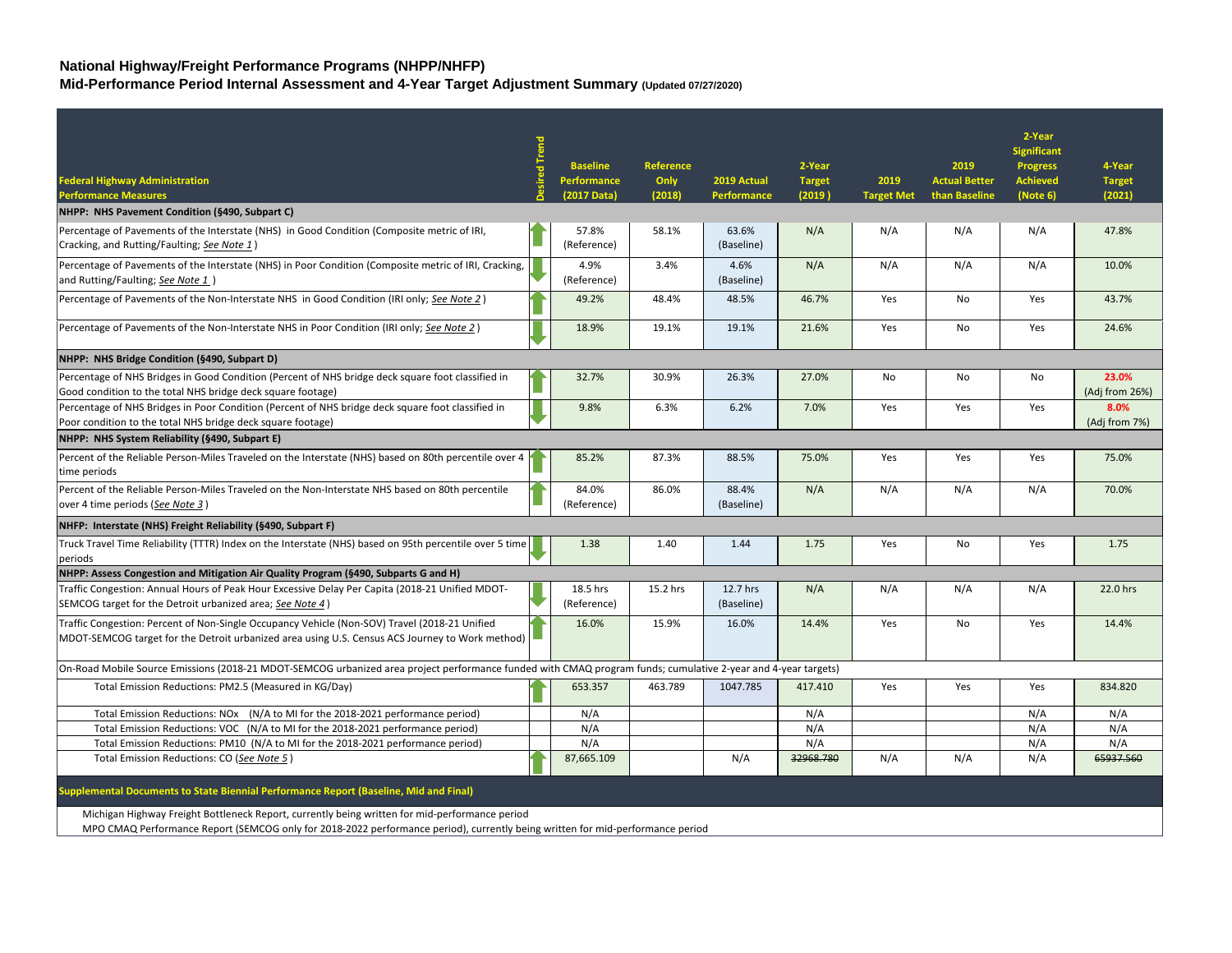## **National Highway/Freight Performance Programs (NHPP/NHFP)**

**Mid-Performance Period Internal Assessment and 4-Year Target Adjustment Summary (Updated 07/27/2020)**

|                                                                                                                                                               |                 |           |             |               |                   |                      | 2-Year             |                |
|---------------------------------------------------------------------------------------------------------------------------------------------------------------|-----------------|-----------|-------------|---------------|-------------------|----------------------|--------------------|----------------|
|                                                                                                                                                               |                 |           |             |               |                   |                      | <b>Significant</b> |                |
|                                                                                                                                                               | <b>Baseline</b> | Reference |             | 2-Year        |                   | 2019                 | <b>Progress</b>    | 4-Year         |
| <b>Federal Highway Administration</b>                                                                                                                         | Performance     | Only      | 2019 Actual | <b>Target</b> | 2019              | <b>Actual Better</b> | <b>Achieved</b>    | <b>Target</b>  |
| <b>Performance Measures</b>                                                                                                                                   | (2017 Data)     | (2018)    | Performance | (2019)        | <b>Target Met</b> | than Baseline        | (Note 6)           | (2021)         |
| NHPP: NHS Pavement Condition (§490, Subpart C)                                                                                                                |                 |           |             |               |                   |                      |                    |                |
| Percentage of Pavements of the Interstate (NHS) in Good Condition (Composite metric of IRI,                                                                   | 57.8%           | 58.1%     | 63.6%       | N/A           | N/A               | N/A                  | N/A                | 47.8%          |
| Cracking, and Rutting/Faulting; See Note 1)                                                                                                                   | (Reference)     |           | (Baseline)  |               |                   |                      |                    |                |
| Percentage of Pavements of the Interstate (NHS) in Poor Condition (Composite metric of IRI, Cracking,                                                         | 4.9%            | 3.4%      | 4.6%        | N/A           | N/A               | N/A                  | N/A                | 10.0%          |
| and Rutting/Faulting; See Note 1)                                                                                                                             | (Reference)     |           | (Baseline)  |               |                   |                      |                    |                |
| Percentage of Pavements of the Non-Interstate NHS in Good Condition (IRI only; See Note 2)                                                                    | 49.2%           | 48.4%     | 48.5%       | 46.7%         | Yes               | <b>No</b>            | Yes                | 43.7%          |
|                                                                                                                                                               |                 |           |             |               |                   |                      |                    |                |
| Percentage of Pavements of the Non-Interstate NHS in Poor Condition (IRI only; See Note 2)                                                                    | 18.9%           | 19.1%     | 19.1%       | 21.6%         | Yes               | No                   | Yes                | 24.6%          |
|                                                                                                                                                               |                 |           |             |               |                   |                      |                    |                |
| NHPP: NHS Bridge Condition (§490, Subpart D)                                                                                                                  |                 |           |             |               |                   |                      |                    |                |
| Percentage of NHS Bridges in Good Condition (Percent of NHS bridge deck square foot classified in                                                             | 32.7%           | 30.9%     | 26.3%       | 27.0%         | No                | No                   | No                 | 23.0%          |
| Good condition to the total NHS bridge deck square footage)                                                                                                   |                 |           |             |               |                   |                      |                    | (Adj from 26%) |
| Percentage of NHS Bridges in Poor Condition (Percent of NHS bridge deck square foot classified in                                                             | 9.8%            | 6.3%      | 6.2%        | 7.0%          | Yes               | Yes                  | Yes                | 8.0%           |
| Poor condition to the total NHS bridge deck square footage)                                                                                                   |                 |           |             |               |                   |                      |                    | (Adj from 7%)  |
| NHPP: NHS System Reliability (§490, Subpart E)                                                                                                                |                 |           |             |               |                   |                      |                    |                |
| Percent of the Reliable Person-Miles Traveled on the Interstate (NHS) based on 80th percentile over 4                                                         | 85.2%           | 87.3%     | 88.5%       | 75.0%         | Yes               | Yes                  | Yes                | 75.0%          |
| time periods                                                                                                                                                  |                 |           |             |               |                   |                      |                    |                |
| Percent of the Reliable Person-Miles Traveled on the Non-Interstate NHS based on 80th percentile                                                              | 84.0%           | 86.0%     | 88.4%       | N/A           | N/A               | N/A                  | N/A                | 70.0%          |
| over 4 time periods (See Note 3)                                                                                                                              | (Reference)     |           | (Baseline)  |               |                   |                      |                    |                |
| NHFP: Interstate (NHS) Freight Reliability (§490, Subpart F)                                                                                                  |                 |           |             |               |                   |                      |                    |                |
| Truck Travel Time Reliability (TTTR) Index on the Interstate (NHS) based on 95th percentile over 5 time                                                       | 1.38            | 1.40      | 1.44        | 1.75          | Yes               | No                   | Yes                | 1.75           |
| periods                                                                                                                                                       |                 |           |             |               |                   |                      |                    |                |
| NHPP: Assess Congestion and Mitigation Air Quality Program (§490, Subparts G and H)                                                                           |                 |           |             |               |                   |                      |                    |                |
| Traffic Congestion: Annual Hours of Peak Hour Excessive Delay Per Capita (2018-21 Unified MDOT-                                                               | 18.5 hrs        | 15.2 hrs  | 12.7 hrs    | N/A           | N/A               | N/A                  | N/A                | 22.0 hrs       |
| SEMCOG target for the Detroit urbanized area; See Note 4)                                                                                                     | (Reference)     |           | (Baseline)  |               |                   |                      |                    |                |
| Traffic Congestion: Percent of Non-Single Occupancy Vehicle (Non-SOV) Travel (2018-21 Unified                                                                 | 16.0%           | 15.9%     | 16.0%       | 14.4%         | Yes               | No                   | Yes                | 14.4%          |
| MDOT-SEMCOG target for the Detroit urbanized area using U.S. Census ACS Journey to Work method)                                                               |                 |           |             |               |                   |                      |                    |                |
|                                                                                                                                                               |                 |           |             |               |                   |                      |                    |                |
| On-Road Mobile Source Emissions (2018-21 MDOT-SEMCOG urbanized area project performance funded with CMAQ program funds; cumulative 2-year and 4-year targets) |                 |           |             |               |                   |                      |                    |                |
| Total Emission Reductions: PM2.5 (Measured in KG/Day)                                                                                                         | 653.357         | 463.789   | 1047.785    | 417.410       | Yes               | Yes                  | Yes                | 834.820        |
| Total Emission Reductions: NOx (N/A to MI for the 2018-2021 performance period)                                                                               | N/A             |           |             | N/A           |                   |                      | N/A                | N/A            |
| Total Emission Reductions: VOC (N/A to MI for the 2018-2021 performance period)                                                                               | N/A             |           |             | N/A           |                   |                      | N/A                | N/A            |
| Total Emission Reductions: PM10 (N/A to MI for the 2018-2021 performance period)                                                                              | N/A             |           |             | N/A           |                   |                      | N/A                | N/A            |
| Total Emission Reductions: CO (See Note 5)                                                                                                                    | 87,665.109      |           | N/A         | 32968.780     | N/A               | N/A                  | N/A                | 65937.560      |
|                                                                                                                                                               |                 |           |             |               |                   |                      |                    |                |
| Supplemental Documents to State Biennial Performance Report (Baseline, Mid and Final)                                                                         |                 |           |             |               |                   |                      |                    |                |
| Michigan Highway Freight Bottleneck Report, currently being written for mid-performance period                                                                |                 |           |             |               |                   |                      |                    |                |
| MPO CMAQ Performance Report (SEMCOG only for 2018-2022 performance period), currently being written for mid-performance period                                |                 |           |             |               |                   |                      |                    |                |